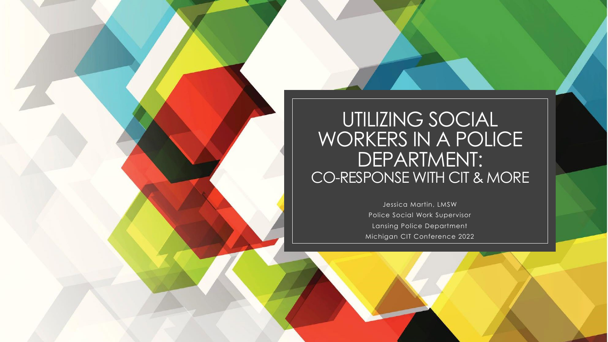### UTILIZING SOCIAL WORKERS IN A POLICE DEPARTMENT: CO-RESPONSE WITH CIT & MORE

Jessica Martin, LMSW Police Social Work Supervisor Lansing Police Department Michigan CIT Conference 2022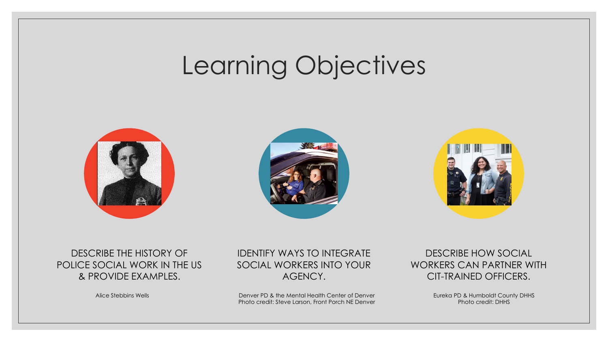## Learning Objectives







#### DESCRIBE THE HISTORY OF POLICE SOCIAL WORK IN THE US & PROVIDE EXAMPLES.

IDENTIFY WAYS TO INTEGRATE SOCIAL WORKERS INTO YOUR AGENCY.

Denver PD & the Mental Health Center of Denver Photo credit: Steve Larson, Front Porch NE Denver Alice Stebbins Wells **Eureka PD** A the Mental Health Center of Denver **Eureka PD** & Humboldt County DHHS

DESCRIBE HOW SOCIAL WORKERS CAN PARTNER WITH CIT-TRAINED OFFICERS.

Photo credit: DHHS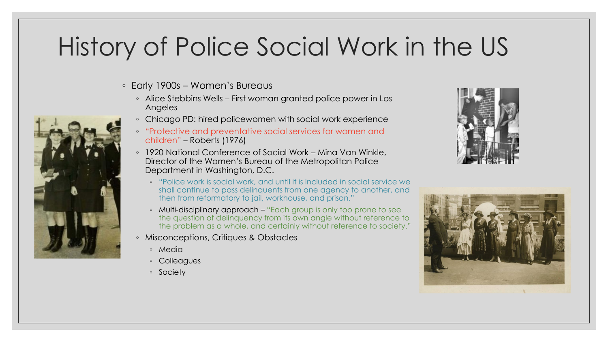## History of Police Social Work in the US

- Early 1900s Women's Bureaus
	- Alice Stebbins Wells First woman granted police power in Los Angeles
	- Chicago PD: hired policewomen with social work experience
	- "Protective and preventative social services for women and children" – Roberts (1976)
	- 1920 National Conference of Social Work Mina Van Winkle, Director of the Women's Bureau of the Metropolitan Police Department in Washington, D.C.
		- "Police work is social work, and until it is included in social service we shall continue to pass delinquents from one agency to another, and then from reformatory to jail, workhouse, and prison."
		- Multi-disciplinary approach "Each group is only too prone to see the question of delinquency from its own angle without reference to the problem as a whole, and certainly without reference to society."
	- Misconceptions, Critiques & Obstacles
		- Media
		- Colleagues
		- Society





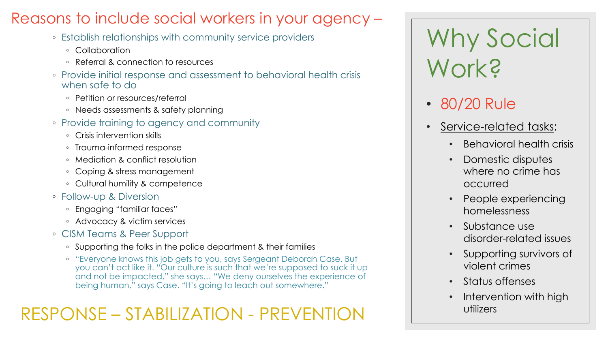### Reasons to include social workers in your agency –

- Establish relationships with community service providers
	- Collaboration
	- Referral & connection to resources
- Provide initial response and assessment to behavioral health crisis when safe to do
	- Petition or resources/referral
	- Needs assessments & safety planning
- Provide training to agency and community
	- Crisis intervention skills
	- Trauma-informed response
	- Mediation & conflict resolution
	- Coping & stress management
	- Cultural humility & competence
- Follow-up & Diversion
	- Engaging "familiar faces"
	- Advocacy & victim services
- CISM Teams & Peer Support
	- Supporting the folks in the police department & their families
	- "Everyone knows this job gets to you, says Sergeant Deborah Case. But you can't act like it. "Our culture is such that we're supposed to suck it up and not be impacted," she says… "We deny ourselves the experience of being human," says Case. "It's going to leach out somewhere."

### RESPONSE – STABILIZATION - PREVENTION

Why Social Work?

- 80/20 Rule
- Service-related tasks:
	- Behavioral health crisis
	- Domestic disputes where no crime has occurred
	- People experiencing homelessness
	- Substance use disorder-related issues
	- Supporting survivors of violent crimes
	- Status offenses
	- Intervention with high utilizers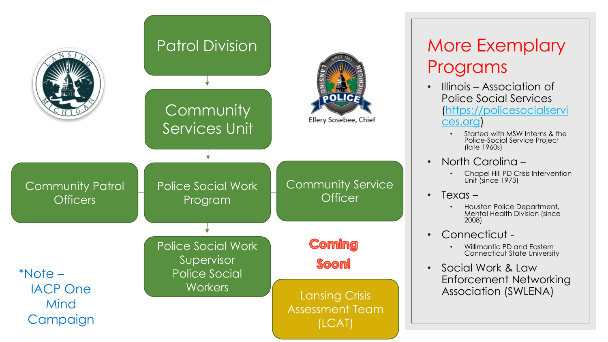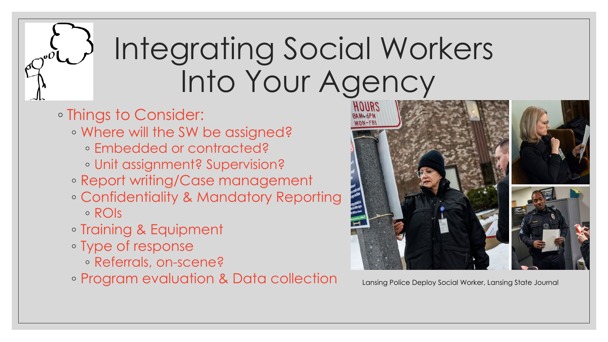# Integrating Social Workers Into Your Agency

- Things to Consider:
	- Where will the SW be assigned?
		- Embedded or contracted?
		- Unit assignment? Supervision?
	- Report writing/Case management
	- Confidentiality & Mandatory Reporting ◦ ROIs
	- Training & Equipment
	- Type of response
		- Referrals, on-scene?
	- Program evaluation & Data collection Lansing Police Deploy Social Worker, Lansing State Journal

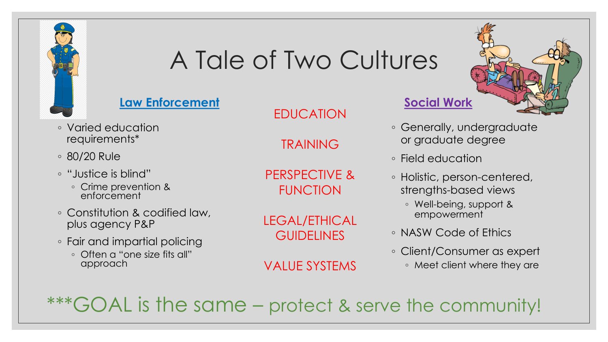

## A Tale of Two Cultures

#### **Law Enforcement**

- Varied education requirements\*
- 80/20 Rule
- "Justice is blind"
	- Crime prevention & enforcement
- Constitution & codified law, plus agency P&P
- Fair and impartial policing
	- Often a "one size fits all" approach

EDUCATION

TRAINING

PERSPECTIVE & FUNCTION

LEGAL/ETHICAL **GUIDELINES** 

VALUE SYSTEMS

#### **Social Work**

- Generally, undergraduate or graduate degree
- Field education
- Holistic, person-centered, strengths-based views
	- Well-being, support & empowerment
- NASW Code of Ethics
- Client/Consumer as expert
	- Meet client where they are

GOAL is the same – protect & serve the community!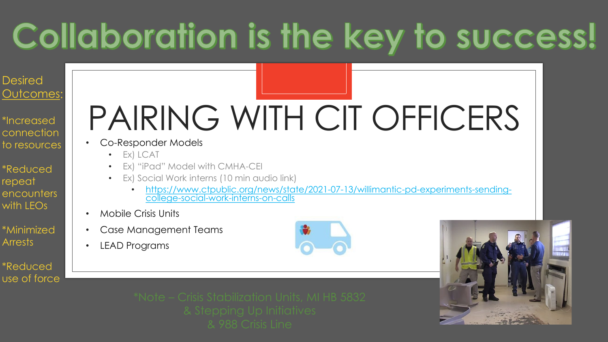## Collaboration is the key to success!

#### Desired Outcomes:

- \*Increased connection to resources
- \*Reduced repeat encounters with LEOs
- \*Minimized **Arrests**
- \*Reduced use of force

# PAIRING WITH CIT OFFICERS

- Co-Responder Models
	- Ex) LCAT
	- Ex) "iPad" Model with CMHA-CEI
	- Ex) Social Work interns (10 min audio link)
		- [https://www.ctpublic.org/news/state/2021-07-13/willimantic-pd-experiments-sending-](https://www.ctpublic.org/news/state/2021-07-13/willimantic-pd-experiments-sending-college-social-work-interns-on-calls) college-social-work-interns-on-calls
- Mobile Crisis Units
- Case Management Teams
- LEAD Programs

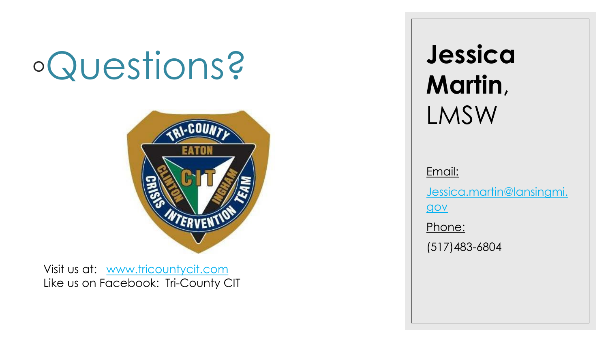# ◦Questions?



Visit us at: [www.tricountycit.com](http://www.tricountycit.com/) Like us on Facebook: Tri-County CIT **Jessica Martin**, LMSW

Email:

[Jessica.martin@lansingmi.](mailto:Jessica.martin@lansingmi.gov)

gov

Phone:

(517)483-6804